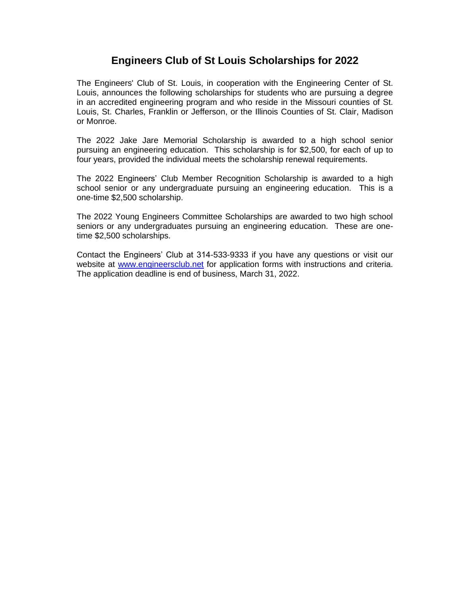## **Engineers Club of St Louis Scholarships for 2022**

The Engineers' Club of St. Louis, in cooperation with the Engineering Center of St. Louis, announces the following scholarships for students who are pursuing a degree in an accredited engineering program and who reside in the Missouri counties of St. Louis, St. Charles, Franklin or Jefferson, or the Illinois Counties of St. Clair, Madison or Monroe.

The 2022 Jake Jare Memorial Scholarship is awarded to a high school senior pursuing an engineering education. This scholarship is for \$2,500, for each of up to four years, provided the individual meets the scholarship renewal requirements.

The 2022 Engineers' Club Member Recognition Scholarship is awarded to a high school senior or any undergraduate pursuing an engineering education. This is a one-time \$2,500 scholarship.

The 2022 Young Engineers Committee Scholarships are awarded to two high school seniors or any undergraduates pursuing an engineering education. These are onetime \$2,500 scholarships.

Contact the Engineers' Club at 314-533-9333 if you have any questions or visit our website at [www.engineersclub.net](http://www.enfineersclub.net/) for application forms with instructions and criteria. The application deadline is end of business, March 31, 2022.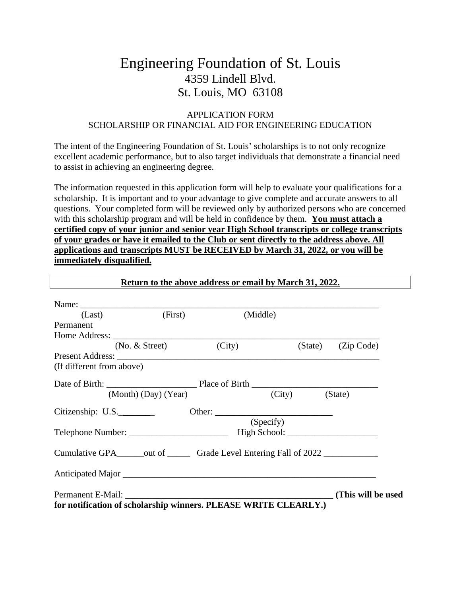# Engineering Foundation of St. Louis 4359 Lindell Blvd. St. Louis, MO 63108

#### APPLICATION FORM SCHOLARSHIP OR FINANCIAL AID FOR ENGINEERING EDUCATION

The intent of the Engineering Foundation of St. Louis' scholarships is to not only recognize excellent academic performance, but to also target individuals that demonstrate a financial need to assist in achieving an engineering degree.

The information requested in this application form will help to evaluate your qualifications for a scholarship. It is important and to your advantage to give complete and accurate answers to all questions. Your completed form will be reviewed only by authorized persons who are concerned with this scholarship program and will be held in confidence by them. **You must attach a certified copy of your junior and senior year High School transcripts or college transcripts of your grades or have it emailed to the Club or sent directly to the address above. All applications and transcripts MUST be RECEIVED by March 31, 2022, or you will be immediately disqualified.**

| (First)<br>(Last)                                                        |                      | (Middle) |           |                |                    |
|--------------------------------------------------------------------------|----------------------|----------|-----------|----------------|--------------------|
| Permanent                                                                |                      |          |           |                |                    |
|                                                                          |                      |          |           |                |                    |
|                                                                          | $(No. &$ Street)     | (City)   |           |                | (State) (Zip Code) |
|                                                                          |                      |          |           |                |                    |
| (If different from above)                                                |                      |          |           |                |                    |
|                                                                          |                      |          |           |                |                    |
|                                                                          | (Month) (Day) (Year) |          |           | (City) (State) |                    |
| Citizenship: $U.S.$                                                      |                      |          |           |                |                    |
|                                                                          |                      |          | (Specify) |                |                    |
|                                                                          |                      |          |           |                |                    |
|                                                                          |                      |          |           |                |                    |
| Cumulative GPA_______out of __________ Grade Level Entering Fall of 2022 |                      |          |           |                |                    |
|                                                                          |                      |          |           |                |                    |
|                                                                          |                      |          |           |                |                    |
| Permanent E-Mail:                                                        |                      |          |           |                | (This will be used |
| for notification of scholarship winners. PLEASE WRITE CLEARLY.)          |                      |          |           |                |                    |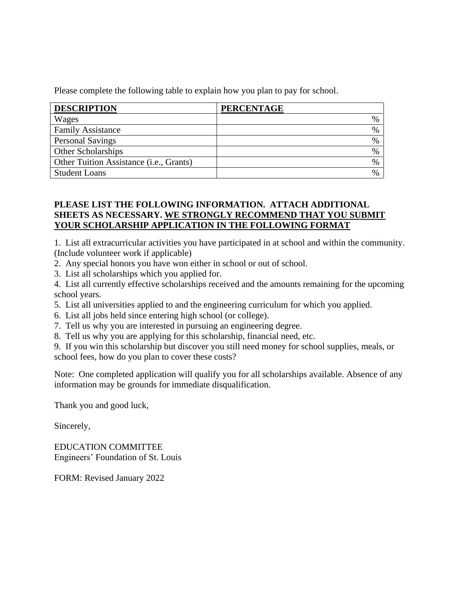Please complete the following table to explain how you plan to pay for school.

| <b>DESCRIPTION</b>                               | <b>PERCENTAGE</b> |
|--------------------------------------------------|-------------------|
| Wages                                            |                   |
| <b>Family Assistance</b>                         |                   |
| <b>Personal Savings</b>                          |                   |
| <b>Other Scholarships</b>                        |                   |
| Other Tuition Assistance ( <i>i.e.</i> , Grants) |                   |
| <b>Student Loans</b>                             |                   |

### **PLEASE LIST THE FOLLOWING INFORMATION. ATTACH ADDITIONAL SHEETS AS NECESSARY. WE STRONGLY RECOMMEND THAT YOU SUBMIT YOUR SCHOLARSHIP APPLICATION IN THE FOLLOWING FORMAT**

1. List all extracurricular activities you have participated in at school and within the community. (Include volunteer work if applicable)

- 2. Any special honors you have won either in school or out of school.
- 3. List all scholarships which you applied for.
- 4. List all currently effective scholarships received and the amounts remaining for the upcoming school years.
- 5. List all universities applied to and the engineering curriculum for which you applied.
- 6. List all jobs held since entering high school (or college).
- 7. Tell us why you are interested in pursuing an engineering degree.
- 8. Tell us why you are applying for this scholarship, financial need, etc.
- 9. If you win this scholarship but discover you still need money for school supplies, meals, or school fees, how do you plan to cover these costs?

Note: One completed application will qualify you for all scholarships available. Absence of any information may be grounds for immediate disqualification.

Thank you and good luck,

Sincerely,

EDUCATION COMMITTEE Engineers' Foundation of St. Louis

FORM: Revised January 2022